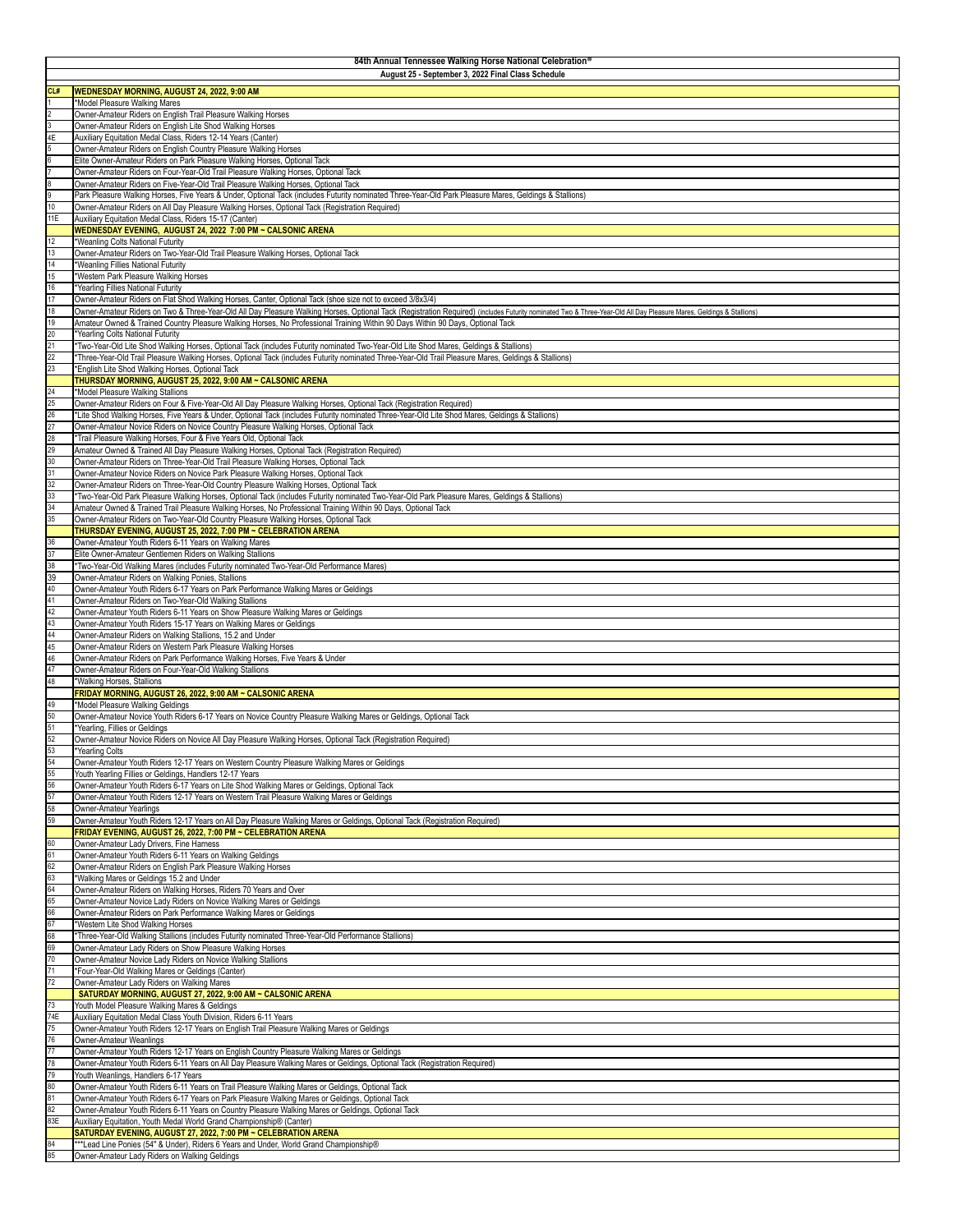| 84th Annual Tennessee Walking Horse National Celebration®<br>August 25 - September 3, 2022 Final Class Schedule |                                                                                                                                                                                                                                                                                                                                                       |  |
|-----------------------------------------------------------------------------------------------------------------|-------------------------------------------------------------------------------------------------------------------------------------------------------------------------------------------------------------------------------------------------------------------------------------------------------------------------------------------------------|--|
|                                                                                                                 |                                                                                                                                                                                                                                                                                                                                                       |  |
| CL#                                                                                                             | WEDNESDAY MORNING, AUGUST 24, 2022, 9:00 AM<br>*Model Pleasure Walking Mares                                                                                                                                                                                                                                                                          |  |
|                                                                                                                 | Owner-Amateur Riders on English Trail Pleasure Walking Horses                                                                                                                                                                                                                                                                                         |  |
| 4E                                                                                                              | Owner-Amateur Riders on English Lite Shod Walking Horses<br>Auxiliary Equitation Medal Class, Riders 12-14 Years (Canter)                                                                                                                                                                                                                             |  |
|                                                                                                                 | Owner-Amateur Riders on English Country Pleasure Walking Horses                                                                                                                                                                                                                                                                                       |  |
|                                                                                                                 | Elite Owner-Amateur Riders on Park Pleasure Walking Horses, Optional Tack                                                                                                                                                                                                                                                                             |  |
|                                                                                                                 | Owner-Amateur Riders on Four-Year-Old Trail Pleasure Walking Horses, Optional Tack<br>Owner-Amateur Riders on Five-Year-Old Trail Pleasure Walking Horses, Optional Tack                                                                                                                                                                              |  |
|                                                                                                                 | Park Pleasure Walking Horses, Five Years & Under, Optional Tack (includes Futurity nominated Three-Year-Old Park Pleasure Mares, Geldings & Stallions)                                                                                                                                                                                                |  |
| 10                                                                                                              | Owner-Amateur Riders on All Day Pleasure Walking Horses, Optional Tack (Registration Required)                                                                                                                                                                                                                                                        |  |
| 11E                                                                                                             | Auxiliary Equitation Medal Class, Riders 15-17 (Canter)<br>WEDNESDAY EVENING, AUGUST 24, 2022 7:00 PM ~ CALSONIC ARENA                                                                                                                                                                                                                                |  |
| 12                                                                                                              | *Weanling Colts National Futurity                                                                                                                                                                                                                                                                                                                     |  |
| 13                                                                                                              | Owner-Amateur Riders on Two-Year-Old Trail Pleasure Walking Horses, Optional Tack                                                                                                                                                                                                                                                                     |  |
| 14<br>15                                                                                                        | *Weanling Fillies National Futurity<br>*Western Park Pleasure Walking Horses                                                                                                                                                                                                                                                                          |  |
| 16                                                                                                              | *Yearling Fillies National Futurity                                                                                                                                                                                                                                                                                                                   |  |
| 17                                                                                                              | Owner-Amateur Riders on Flat Shod Walking Horses, Canter, Optional Tack (shoe size not to exceed 3/8x3/4)                                                                                                                                                                                                                                             |  |
| 18<br>19                                                                                                        | Owner-Amateur Riders on Two & Three-Year-Old All Day Pleasure Walking Horses, Optional Tack (Registration Required) (includes Futurity nominated Two & Three-Year-Old All Day Pleasure Mares, Geldings & Stallions)<br>Amateur Owned & Trained Country Pleasure Walking Horses, No Professional Training Within 90 Days Within 90 Days, Optional Tack |  |
| 20                                                                                                              | *Yearling Colts National Futurity                                                                                                                                                                                                                                                                                                                     |  |
| 21                                                                                                              | *Two-Year-Old Lite Shod Walking Horses, Optional Tack (includes Futurity nominated Two-Year-Old Lite Shod Mares, Geldings & Stallions)                                                                                                                                                                                                                |  |
| 22<br>23                                                                                                        | *Three-Year-Old Trail Pleasure Walking Horses, Optional Tack (includes Futurity nominated Three-Year-Old Trail Pleasure Mares, Geldings & Stallions)<br>*English Lite Shod Walking Horses, Optional Tack                                                                                                                                              |  |
|                                                                                                                 | THURSDAY MORNING, AUGUST 25, 2022, 9:00 AM ~ CALSONIC ARENA                                                                                                                                                                                                                                                                                           |  |
| 24                                                                                                              | *Model Pleasure Walking Stallions                                                                                                                                                                                                                                                                                                                     |  |
| 25<br>26                                                                                                        | Owner-Amateur Riders on Four & Five-Year-Old All Day Pleasure Walking Horses, Optional Tack (Registration Required)<br>*Lite Shod Walking Horses, Five Years & Under, Optional Tack (includes Futurity nominated Three-Year-Old Lite Shod Mares, Geldings & Stallions)                                                                                |  |
| 27                                                                                                              | Owner-Amateur Novice Riders on Novice Country Pleasure Walking Horses, Optional Tack                                                                                                                                                                                                                                                                  |  |
| 28<br>29                                                                                                        | *Trail Pleasure Walking Horses, Four & Five Years Old, Optional Tack                                                                                                                                                                                                                                                                                  |  |
| 30                                                                                                              | Amateur Owned & Trained All Day Pleasure Walking Horses, Optional Tack (Registration Required)<br>Owner-Amateur Riders on Three-Year-Old Trail Pleasure Walking Horses, Optional Tack                                                                                                                                                                 |  |
| 31                                                                                                              | Owner-Amateur Novice Riders on Novice Park Pleasure Walking Horses, Optional Tack                                                                                                                                                                                                                                                                     |  |
| 32<br>33                                                                                                        | Owner-Amateur Riders on Three-Year-Old Country Pleasure Walking Horses, Optional Tack<br>*Two-Year-Old Park Pleasure Walking Horses, Optional Tack (includes Futurity nominated Two-Year-Old Park Pleasure Mares, Geldings & Stallions)                                                                                                               |  |
| 34                                                                                                              | Amateur Owned & Trained Trail Pleasure Walking Horses, No Professional Training Within 90 Days, Optional Tack                                                                                                                                                                                                                                         |  |
| 35                                                                                                              | Owner-Amateur Riders on Two-Year-Old Country Pleasure Walking Horses, Optional Tack                                                                                                                                                                                                                                                                   |  |
| 36                                                                                                              | THURSDAY EVENING, AUGUST 25, 2022, 7:00 PM ~ CELEBRATION ARENA<br>Owner-Amateur Youth Riders 6-11 Years on Walking Mares                                                                                                                                                                                                                              |  |
| 37                                                                                                              | Elite Owner-Amateur Gentlemen Riders on Walking Stallions                                                                                                                                                                                                                                                                                             |  |
| 38                                                                                                              | *Two-Year-Old Walking Mares (includes Futurity nominated Two-Year-Old Performance Mares)                                                                                                                                                                                                                                                              |  |
| 39<br>40                                                                                                        | Owner-Amateur Riders on Walking Ponies, Stallions<br>Owner-Amateur Youth Riders 6-17 Years on Park Performance Walking Mares or Geldings                                                                                                                                                                                                              |  |
| 41                                                                                                              | Owner-Amateur Riders on Two-Year-Old Walking Stallions                                                                                                                                                                                                                                                                                                |  |
| 42                                                                                                              | Owner-Amateur Youth Riders 6-11 Years on Show Pleasure Walking Mares or Geldings                                                                                                                                                                                                                                                                      |  |
| 43<br>44                                                                                                        | Owner-Amateur Youth Riders 15-17 Years on Walking Mares or Geldings<br>Owner-Amateur Riders on Walking Stallions, 15.2 and Under                                                                                                                                                                                                                      |  |
| 45                                                                                                              | Owner-Amateur Riders on Western Park Pleasure Walking Horses                                                                                                                                                                                                                                                                                          |  |
| 46                                                                                                              | Owner-Amateur Riders on Park Performance Walking Horses, Five Years & Under                                                                                                                                                                                                                                                                           |  |
| 47<br>48                                                                                                        | Owner-Amateur Riders on Four-Year-Old Walking Stallions<br>*Walking Horses, Stallions                                                                                                                                                                                                                                                                 |  |
|                                                                                                                 | FRIDAY MORNING, AUGUST 26, 2022, 9:00 AM ~ CALSONIC ARENA                                                                                                                                                                                                                                                                                             |  |
| 49<br>50                                                                                                        | *Model Pleasure Walking Geldings<br>Owner-Amateur Novice Youth Riders 6-17 Years on Novice Country Pleasure Walking Mares or Geldings, Optional Tack                                                                                                                                                                                                  |  |
| 51                                                                                                              | *Yearling, Fillies or Geldings                                                                                                                                                                                                                                                                                                                        |  |
| 52                                                                                                              | Owner-Amateur Novice Riders on Novice All Day Pleasure Walking Horses, Optional Tack (Registration Required)                                                                                                                                                                                                                                          |  |
| 53<br>54                                                                                                        | *Yearling Colts<br>Owner-Amateur Youth Riders 12-17 Years on Western Country Pleasure Walking Mares or Geldings                                                                                                                                                                                                                                       |  |
| 55                                                                                                              | Youth Yearling Fillies or Geldings, Handlers 12-17 Years                                                                                                                                                                                                                                                                                              |  |
| 56                                                                                                              | Owner-Amateur Youth Riders 6-17 Years on Lite Shod Walking Mares or Geldings, Optional Tack                                                                                                                                                                                                                                                           |  |
| 57<br>58                                                                                                        | Owner-Amateur Youth Riders 12-17 Years on Western Trail Pleasure Walking Mares or Geldings<br>Owner-Amateur Yearlings                                                                                                                                                                                                                                 |  |
| 59                                                                                                              | Owner-Amateur Youth Riders 12-17 Years on All Day Pleasure Walking Mares or Geldings, Optional Tack (Registration Required)                                                                                                                                                                                                                           |  |
|                                                                                                                 | FRIDAY EVENING, AUGUST 26, 2022, 7:00 PM ~ CELEBRATION ARENA                                                                                                                                                                                                                                                                                          |  |
| 60<br>61                                                                                                        | Owner-Amateur Lady Drivers, Fine Harness<br>Owner-Amateur Youth Riders 6-11 Years on Walking Geldings                                                                                                                                                                                                                                                 |  |
| 62                                                                                                              | Owner-Amateur Riders on English Park Pleasure Walking Horses                                                                                                                                                                                                                                                                                          |  |
| 63                                                                                                              | *Walking Mares or Geldings 15.2 and Under                                                                                                                                                                                                                                                                                                             |  |
| 64<br>65                                                                                                        | Owner-Amateur Riders on Walking Horses, Riders 70 Years and Over<br>Owner-Amateur Novice Lady Riders on Novice Walking Mares or Geldings                                                                                                                                                                                                              |  |
| 66                                                                                                              | Owner-Amateur Riders on Park Performance Walking Mares or Geldings                                                                                                                                                                                                                                                                                    |  |
| 67<br>68                                                                                                        | *Western Lite Shod Walking Horses<br>*Three-Year-Old Walking Stallions (includes Futurity nominated Three-Year-Old Performance Stallions)                                                                                                                                                                                                             |  |
| 69                                                                                                              | Owner-Amateur Lady Riders on Show Pleasure Walking Horses                                                                                                                                                                                                                                                                                             |  |
| 70                                                                                                              | Owner-Amateur Novice Lady Riders on Novice Walking Stallions                                                                                                                                                                                                                                                                                          |  |
| 71<br>72                                                                                                        | *Four-Year-Old Walking Mares or Geldings (Canter)<br>Owner-Amateur Lady Riders on Walking Mares                                                                                                                                                                                                                                                       |  |
|                                                                                                                 | SATURDAY MORNING, AUGUST 27, 2022, 9:00 AM ~ CALSONIC ARENA                                                                                                                                                                                                                                                                                           |  |
| 73                                                                                                              | Youth Model Pleasure Walking Mares & Geldings                                                                                                                                                                                                                                                                                                         |  |
| 74E<br>75                                                                                                       | Auxiliary Equitation Medal Class Youth Division, Riders 6-11 Years<br>Owner-Amateur Youth Riders 12-17 Years on English Trail Pleasure Walking Mares or Geldings                                                                                                                                                                                      |  |
| 76                                                                                                              | Owner-Amateur Weanlings                                                                                                                                                                                                                                                                                                                               |  |
| 77                                                                                                              | Owner-Amateur Youth Riders 12-17 Years on English Country Pleasure Walking Mares or Geldings                                                                                                                                                                                                                                                          |  |
| 78<br>79                                                                                                        | Owner-Amateur Youth Riders 6-11 Years on All Day Pleasure Walking Mares or Geldings, Optional Tack (Registration Required)<br>Youth Weanlings, Handlers 6-17 Years                                                                                                                                                                                    |  |
| 80                                                                                                              | Owner-Amateur Youth Riders 6-11 Years on Trail Pleasure Walking Mares or Geldings, Optional Tack                                                                                                                                                                                                                                                      |  |
| 81                                                                                                              | Owner-Amateur Youth Riders 6-17 Years on Park Pleasure Walking Mares or Geldings, Optional Tack                                                                                                                                                                                                                                                       |  |
| 82<br>83E                                                                                                       | Owner-Amateur Youth Riders 6-11 Years on Country Pleasure Walking Mares or Geldings, Optional Tack<br>Auxiliary Equitation, Youth Medal World Grand Championship® (Canter)                                                                                                                                                                            |  |
|                                                                                                                 | SATURDAY EVENING, AUGUST 27, 2022, 7:00 PM ~ CELEBRATION ARENA                                                                                                                                                                                                                                                                                        |  |
| 84<br>85                                                                                                        | *** Lead Line Ponies (54" & Under), Riders 6 Years and Under, World Grand Championship®                                                                                                                                                                                                                                                               |  |
|                                                                                                                 | Owner-Amateur Lady Riders on Walking Geldings                                                                                                                                                                                                                                                                                                         |  |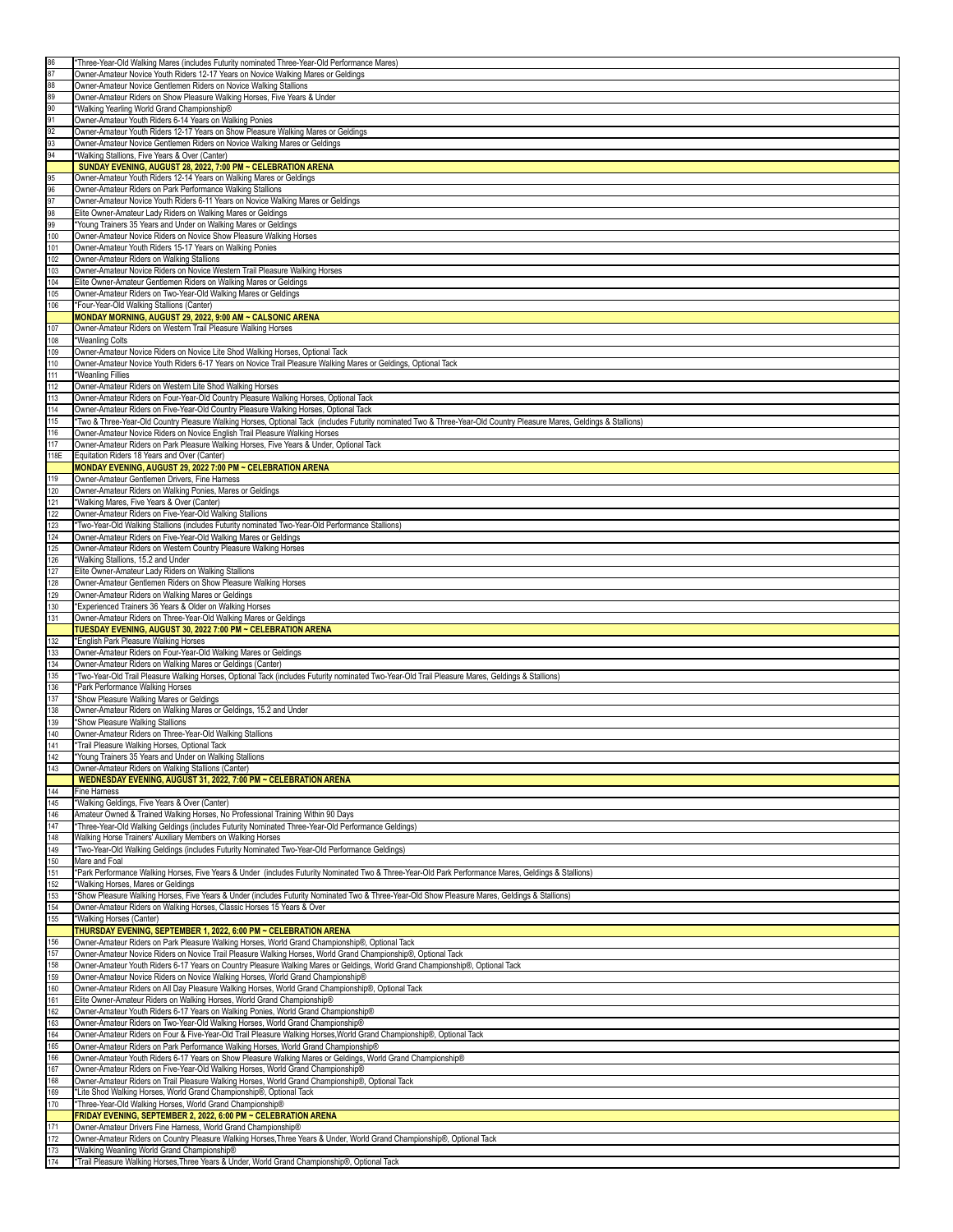| 86         | *Three-Year-Old Walking Mares (includes Futurity nominated Three-Year-Old Performance Mares)                                                                                         |
|------------|--------------------------------------------------------------------------------------------------------------------------------------------------------------------------------------|
| 87         | Owner-Amateur Novice Youth Riders 12-17 Years on Novice Walking Mares or Geldings                                                                                                    |
|            |                                                                                                                                                                                      |
| 88         | Owner-Amateur Novice Gentlemen Riders on Novice Walking Stallions                                                                                                                    |
| 89         | Owner-Amateur Riders on Show Pleasure Walking Horses, Five Years & Under                                                                                                             |
| 90         | *Walking Yearling World Grand Championship®                                                                                                                                          |
| 91         | Owner-Amateur Youth Riders 6-14 Years on Walking Ponies                                                                                                                              |
| 92         | Owner-Amateur Youth Riders 12-17 Years on Show Pleasure Walking Mares or Geldings                                                                                                    |
| 93         |                                                                                                                                                                                      |
|            | Owner-Amateur Novice Gentlemen Riders on Novice Walking Mares or Geldings                                                                                                            |
| 94         | *Walking Stallions, Five Years & Over (Canter)                                                                                                                                       |
|            | SUNDAY EVENING, AUGUST 28, 2022, 7:00 PM ~ CELEBRATION ARENA                                                                                                                         |
| 95         | Owner-Amateur Youth Riders 12-14 Years on Walking Mares or Geldings                                                                                                                  |
| 96         | Owner-Amateur Riders on Park Performance Walking Stallions                                                                                                                           |
| 97         | Owner-Amateur Novice Youth Riders 6-11 Years on Novice Walking Mares or Geldings                                                                                                     |
| 98         | Elite Owner-Amateur Lady Riders on Walking Mares or Geldings                                                                                                                         |
|            |                                                                                                                                                                                      |
| 99         | *Young Trainers 35 Years and Under on Walking Mares or Geldings                                                                                                                      |
| 100        | Owner-Amateur Novice Riders on Novice Show Pleasure Walking Horses                                                                                                                   |
| 101        | Owner-Amateur Youth Riders 15-17 Years on Walking Ponies                                                                                                                             |
| 102        | Owner-Amateur Riders on Walking Stallions                                                                                                                                            |
| 103        | Owner-Amateur Novice Riders on Novice Western Trail Pleasure Walking Horses                                                                                                          |
| 104        | Elite Owner-Amateur Gentlemen Riders on Walking Mares or Geldings                                                                                                                    |
|            |                                                                                                                                                                                      |
| 105        | Owner-Amateur Riders on Two-Year-Old Walking Mares or Geldings                                                                                                                       |
| 106        | *Four-Year-Old Walking Stallions (Canter)                                                                                                                                            |
|            | MONDAY MORNING, AUGUST 29, 2022, 9:00 AM ~ CALSONIC ARENA                                                                                                                            |
| 107        | Owner-Amateur Riders on Western Trail Pleasure Walking Horses                                                                                                                        |
| 108        | *Weanling Colts                                                                                                                                                                      |
| 109        | Owner-Amateur Novice Riders on Novice Lite Shod Walking Horses, Optional Tack                                                                                                        |
|            |                                                                                                                                                                                      |
| 110        | Owner-Amateur Novice Youth Riders 6-17 Years on Novice Trail Pleasure Walking Mares or Geldings, Optional Tack                                                                       |
| 111        | *Weanling Fillies                                                                                                                                                                    |
| 112        | Owner-Amateur Riders on Western Lite Shod Walking Horses                                                                                                                             |
| 113        | Owner-Amateur Riders on Four-Year-Old Country Pleasure Walking Horses, Optional Tack                                                                                                 |
| 114        | Owner-Amateur Riders on Five-Year-Old Country Pleasure Walking Horses, Optional Tack                                                                                                 |
| 115        | *Two & Three-Year-Old Country Pleasure Walking Horses, Optional Tack (includes Futurity nominated Two & Three-Year-Old Country Pleasure Mares, Geldings & Stallions)                 |
|            |                                                                                                                                                                                      |
| 116        | Owner-Amateur Novice Riders on Novice English Trail Pleasure Walking Horses                                                                                                          |
| 117        | Owner-Amateur Riders on Park Pleasure Walking Horses, Five Years & Under, Optional Tack                                                                                              |
| 118E       | Equitation Riders 18 Years and Over (Canter)                                                                                                                                         |
|            | MONDAY EVENING, AUGUST 29, 2022 7:00 PM ~ CELEBRATION ARENA                                                                                                                          |
| 119        | Owner-Amateur Gentlemen Drivers, Fine Harness                                                                                                                                        |
|            |                                                                                                                                                                                      |
| 120        | Owner-Amateur Riders on Walking Ponies, Mares or Geldings                                                                                                                            |
| 121        | *Walking Mares, Five Years & Over (Canter)                                                                                                                                           |
| 122        | Owner-Amateur Riders on Five-Year-Old Walking Stallions                                                                                                                              |
| 123        | *Two-Year-Old Walking Stallions (includes Futurity nominated Two-Year-Old Performance Stallions)                                                                                     |
| 124        | Owner-Amateur Riders on Five-Year-Old Walking Mares or Geldings                                                                                                                      |
| 125        | Owner-Amateur Riders on Western Country Pleasure Walking Horses                                                                                                                      |
|            |                                                                                                                                                                                      |
| 126        | *Walking Stallions, 15.2 and Under                                                                                                                                                   |
| 127        | Elite Owner-Amateur Lady Riders on Walking Stallions                                                                                                                                 |
| 128        | Owner-Amateur Gentlemen Riders on Show Pleasure Walking Horses                                                                                                                       |
| 129        | Owner-Amateur Riders on Walking Mares or Geldings                                                                                                                                    |
|            | *Experienced Trainers 36 Years & Older on Walking Horses                                                                                                                             |
|            |                                                                                                                                                                                      |
| 130        |                                                                                                                                                                                      |
| 131        | Owner-Amateur Riders on Three-Year-Old Walking Mares or Geldings                                                                                                                     |
|            | TUESDAY EVENING, AUGUST 30, 2022 7:00 PM ~ CELEBRATION ARENA                                                                                                                         |
| 132        | *English Park Pleasure Walking Horses                                                                                                                                                |
| 133        | Owner-Amateur Riders on Four-Year-Old Walking Mares or Geldings                                                                                                                      |
| 134        | Owner-Amateur Riders on Walking Mares or Geldings (Canter)                                                                                                                           |
| 135        |                                                                                                                                                                                      |
|            | *Two-Year-Old Trail Pleasure Walking Horses, Optional Tack (includes Futurity nominated Two-Year-Old Trail Pleasure Mares, Geldings & Stallions)<br>*Park Performance Walking Horses |
| 136        |                                                                                                                                                                                      |
| 137        | *Show Pleasure Walking Mares or Geldings                                                                                                                                             |
| 138        | Owner-Amateur Riders on Walking Mares or Geldings, 15.2 and Under                                                                                                                    |
| 139        | *Show Pleasure Walking Stallions                                                                                                                                                     |
| 140        | Owner-Amateur Riders on Three-Year-Old Walking Stallions                                                                                                                             |
| 141        | *Trail Pleasure Walking Horses, Optional Tack                                                                                                                                        |
| 142        | *Young Trainers 35 Years and Under on Walking Stallions                                                                                                                              |
| 143        | Owner-Amateur Riders on Walking Stallions (Canter)                                                                                                                                   |
|            |                                                                                                                                                                                      |
|            | WEDNESDAY EVENING, AUGUST 31, 2022, 7:00 PM ~ CELEBRATION ARENA                                                                                                                      |
| 144        | <b>Fine Hamess</b>                                                                                                                                                                   |
| 145        | *Walking Geldings, Five Years & Over (Canter)                                                                                                                                        |
| 146        | Amateur Owned & Trained Walking Horses, No Professional Training Within 90 Days                                                                                                      |
| 147        | *Three-Year-Old Walking Geldings (includes Futurity Nominated Three-Year-Old Performance Geldings)                                                                                   |
| 148        | Walking Horse Trainers' Auxiliary Members on Walking Horses                                                                                                                          |
| 149        | *Two-Year-Old Walking Geldings (includes Futurity Nominated Two-Year-Old Performance Geldings)                                                                                       |
| 150        | Mare and Foal                                                                                                                                                                        |
|            | *Park Performance Walking Horses, Five Years & Under (includes Futurity Nominated Two & Three-Year-Old Park Performance Mares, Geldings & Stallions)                                 |
| 151        |                                                                                                                                                                                      |
| 152        | *Walking Horses, Mares or Geldings                                                                                                                                                   |
| 153        | *Show Pleasure Walking Horses, Five Years & Under (includes Futurity Nominated Two & Three-Year-Old Show Pleasure Mares, Geldings & Stallions)                                       |
| 154        | Owner-Amateur Riders on Walking Horses, Classic Horses 15 Years & Over                                                                                                               |
| 155        | *Walking Horses (Canter)                                                                                                                                                             |
|            | THURSDAY EVENING, SEPTEMBER 1, 2022, 6:00 PM ~ CELEBRATION ARENA                                                                                                                     |
| 156        | Owner-Amateur Riders on Park Pleasure Walking Horses, World Grand Championship®, Optional Tack                                                                                       |
| 157        | Owner-Amateur Novice Riders on Novice Trail Pleasure Walking Horses, World Grand Championship®, Optional Tack                                                                        |
|            |                                                                                                                                                                                      |
| 158        | Owner-Amateur Youth Riders 6-17 Years on Country Pleasure Walking Mares or Geldings, World Grand Championship®, Optional Tack                                                        |
| 159        | Owner-Amateur Novice Riders on Novice Walking Horses, World Grand Championship®                                                                                                      |
| 160        | Owner-Amateur Riders on All Day Pleasure Walking Horses, World Grand Championship®, Optional Tack                                                                                    |
| 161        | Elite Owner-Amateur Riders on Walking Horses, World Grand Championship®                                                                                                              |
| 162        | Owner-Amateur Youth Riders 6-17 Years on Walking Ponies, World Grand Championship®                                                                                                   |
| 163        | Owner-Amateur Riders on Two-Year-Old Walking Horses, World Grand Championship®                                                                                                       |
|            |                                                                                                                                                                                      |
| 164        | Owner-Amateur Riders on Four & Five-Year-Old Trail Pleasure Walking Horses, World Grand Championship®, Optional Tack                                                                 |
| 165        | Owner-Amateur Riders on Park Performance Walking Horses, World Grand Championship®                                                                                                   |
| 166        | Owner-Amateur Youth Riders 6-17 Years on Show Pleasure Walking Mares or Geldings, World Grand Championship®                                                                          |
| 167        | Owner-Amateur Riders on Five-Year-Old Walking Horses, World Grand Championship®                                                                                                      |
| 168        | Owner-Amateur Riders on Trail Pleasure Walking Horses, World Grand Championship®, Optional Tack                                                                                      |
| 169        | *Lite Shod Walking Horses, World Grand Championship®, Optional Tack                                                                                                                  |
|            |                                                                                                                                                                                      |
| 170        | *Three-Year-Old Walking Horses, World Grand Championship®                                                                                                                            |
|            | FRIDAY EVENING, SEPTEMBER 2, 2022, 6:00 PM ~ CELEBRATION ARENA                                                                                                                       |
| 171        | Owner-Amateur Drivers Fine Harness, World Grand Championship®                                                                                                                        |
| 172        | Owner-Amateur Riders on Country Pleasure Walking Horses, Three Years & Under, World Grand Championship®, Optional Tack                                                               |
| 173<br>174 | *Walking Weanling World Grand Championship®<br>*Trail Pleasure Walking Horses, Three Years & Under, World Grand Championship®, Optional Tack                                         |